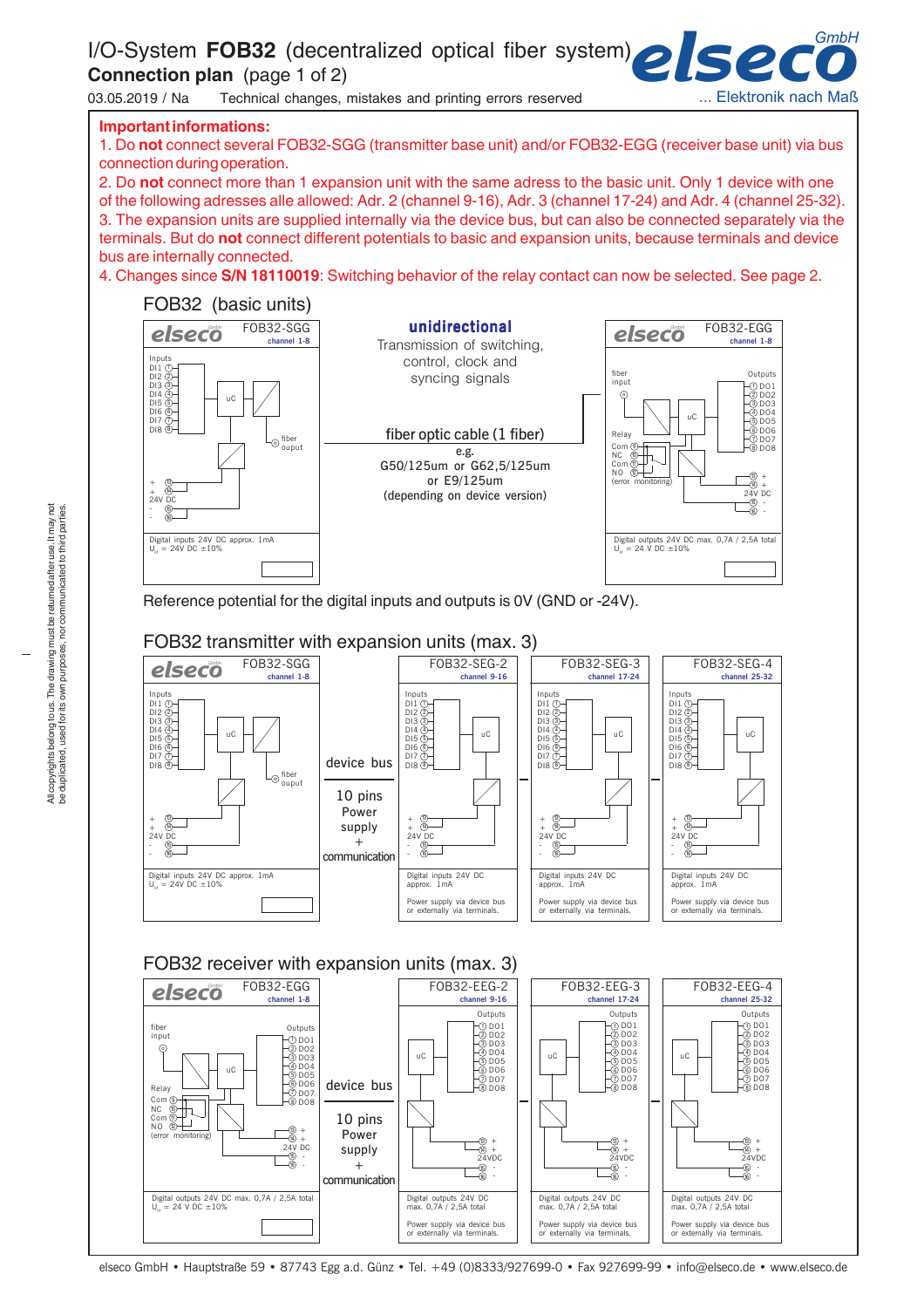I/O-System **FOB32** (decentralized optical fiber system)

**Connection plan** (page 1 of 2)

03.05.2019 / Na Technical changes, mistakes and printing errors reserved



#### **Important informations:**

1. Do **not** connect several FOB32-SGG (transmitter base unit) and/or FOB32-EGG (receiver base unit) via bus connection during operation.

2. Do **not** connect more than 1 expansion unit with the same adress to the basic unit. Only 1 device with one of the following adresses alle allowed: Adr. 2 (channel 9-16), Adr. 3 (channel 17-24) and Adr. 4 (channel 25-32). 3. The expansion units are supplied internally via the device bus, but can also be connected separately via the terminals. But do **not** connect different potentials to basic and expansion units, because terminals and device bus are internally connected.

4. Changes since **S/N 18110019**: Switching behavior of the relay contact can now be selected. See page 2.



Reference potential for the digital inputs and outputs is 0V (GND or -24V).



## FOB32 transmitter with expansion units (max. 3)



elseco GmbH • Hauptstraße 59 • 87743 Egg a.d. Günz • Tel. +49 (0)8333/927699-0 • Fax 927699-99 • info@elseco.de • www.elseco.de